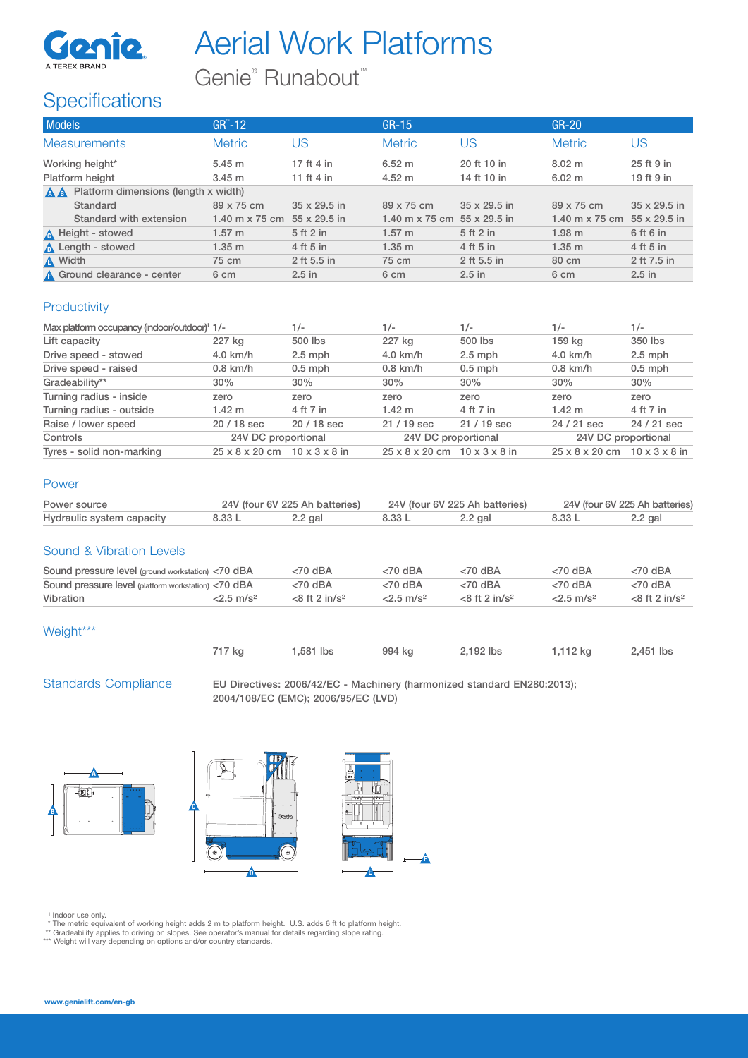

# Aerial Work Platforms

Genie<sup>®</sup> Runabout<sup>™</sup>

## **Specifications**

| <b>Models</b>                                     | $GR^{\sim}-12$        |              | $GR-15$                     |              | $GR-20$                     |              |
|---------------------------------------------------|-----------------------|--------------|-----------------------------|--------------|-----------------------------|--------------|
| <b>Measurements</b>                               | <b>Metric</b>         | US           | <b>Metric</b>               | US           | <b>Metric</b>               | US           |
| Working height*                                   | 5.45 m                | 17 ft 4 in   | $6.52 \; m$                 | 20 ft 10 in  | $8.02 \; \text{m}$          | 25 ft 9 in   |
| Platform height                                   | 3.45 m                | 11 ft 4 in   | $4.52 \text{ m}$            | 14 ft 10 in  | 6.02 m                      | 19 ft 9 in   |
| Platform dimensions (length x width)<br><b>AA</b> |                       |              |                             |              |                             |              |
| Standard                                          | 89 x 75 cm            | 35 x 29.5 in | 89 x 75 cm                  | 35 x 29.5 in | 89 x 75 cm                  | 35 x 29.5 in |
| Standard with extension                           | 1.40 m $\times$ 75 cm | 55 x 29.5 in | 1.40 m x 75 cm 55 x 29.5 in |              | 1.40 m x 75 cm 55 x 29.5 in |              |
| <b>A</b> Height - stowed                          | $1.57 \; \mathrm{m}$  | 5 ft 2 in    | 1.57 m                      | 5 ft 2 in    | 1.98 <sub>m</sub>           | 6 ft 6 in    |
| <b>A</b> Length - stowed                          | $1.35$ m              | 4 ft 5 in    | 1.35 m                      | 4 ft 5 in    | 1.35 m                      | 4 ft 5 in    |
| A Width                                           | 75 cm                 | 2 ft 5.5 in  | 75 cm                       | 2 ft 5.5 in  | 80 cm                       | 2 ft 7.5 in  |
| A Ground clearance - center                       | 6 cm                  | $2.5$ in     | 6 cm                        | $2.5$ in     | 6 cm                        | $2.5$ in     |

### **Productivity**

| Max platform occupancy (indoor/outdoor) <sup>1</sup> 1/- |                                                      | $1/-$       | $1/-$                                                | $1/-$       | $1/-$                      | $1/-$                     |
|----------------------------------------------------------|------------------------------------------------------|-------------|------------------------------------------------------|-------------|----------------------------|---------------------------|
| Lift capacity                                            | 227 kg                                               | 500 lbs     | 227 kg                                               | 500 lbs     | 159 kg                     | 350 lbs                   |
| Drive speed - stowed                                     | $4.0$ km/h                                           | $2.5$ mph   | $4.0$ km/h                                           | $2.5$ mph   | $4.0$ km/h                 | $2.5$ mph                 |
| Drive speed - raised                                     | $0.8$ km/h                                           | $0.5$ mph   | $0.8$ km/h                                           | $0.5$ mph   | $0.8$ km/h                 | $0.5$ mph                 |
| Gradeability**                                           | 30%                                                  | 30%         | 30%                                                  | 30%         | 30%                        | 30%                       |
| Turning radius - inside                                  | zero                                                 | zero        | zero                                                 | zero        | zero                       | zero                      |
| Turning radius - outside                                 | $1.42 \text{ m}$                                     | 4 ft 7 in   | $1.42 \text{ m}$                                     | 4 ft 7 in   | $1.42 \text{ m}$           | 4 ft 7 in                 |
| Raise / lower speed                                      | 20 / 18 sec                                          | $20/18$ sec | $21/19$ sec                                          | $21/19$ sec | 24 / 21 sec                | 24 / 21 sec               |
| Controls                                                 | 24V DC proportional                                  |             | 24V DC proportional                                  |             | 24V DC proportional        |                           |
| Tyres - solid non-marking                                | $25 \times 8 \times 20$ cm $10 \times 3 \times 8$ in |             | $25 \times 8 \times 20$ cm $10 \times 3 \times 8$ in |             | $25 \times 8 \times 20$ cm | $10 \times 3 \times 8$ in |

#### Power

| Power source              |        | 24V (four 6V 225 Ah batteries) | 24V (four 6V 225 Ah batteries) |           | 24V (four 6V 225 Ah batteries) |           |
|---------------------------|--------|--------------------------------|--------------------------------|-----------|--------------------------------|-----------|
| Hydraulic system capacity | 8.33 L | $2.2$ gal                      | 8.33 L                         | $2.2$ gal | 8.33 L                         | $2.2$ gal |

#### Sound & Vibration Levels

| Sound pressure level (ground workstation) <70 dBA   |                          | $< 70$ dBA                  | $<$ 70 dBA               | $< 70$ dBA                  | $<$ 70 dBA          | $<$ 70 dBA                  |
|-----------------------------------------------------|--------------------------|-----------------------------|--------------------------|-----------------------------|---------------------|-----------------------------|
| Sound pressure level (platform workstation) <70 dBA |                          | $<$ 70 dBA                  | $<$ 70 dBA               | $< 70$ dBA                  | $< 70$ dBA          | $<$ 70 dBA                  |
| Vibration                                           | $< 2.5$ m/s <sup>2</sup> | $<8$ ft 2 in/s <sup>2</sup> | $< 2.5$ m/s <sup>2</sup> | $<8$ ft 2 in/s <sup>2</sup> | $2.5 \text{ m/s}^2$ | $<8$ ft 2 in/s <sup>2</sup> |

#### Weight\*\*\*

Standards Compliance EU Directives: 2006/42/EC - Machinery (harmonized standard EN280:2013); 2004/108/EC (EMC); 2006/95/EC (LVD)







- 1 Indoor use only.<br>\* The metric equivalent of working height adds 2 m to platform height. U.S. adds 6 ft to platform height.<br>\*\* Gradeability applies to driving on slopes. See operator's manual for details regarding slope r
-